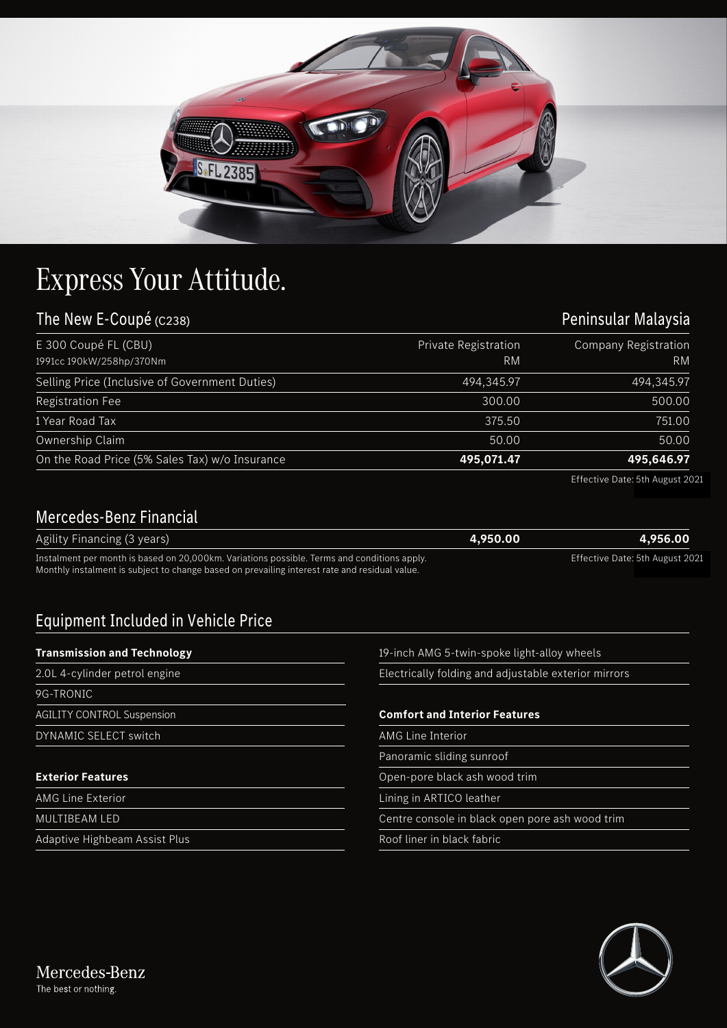

## Express Your Attitude.

| The New E-Coupé (C238)                           |                                   | Peninsular Malaysia        |
|--------------------------------------------------|-----------------------------------|----------------------------|
| E 300 Coupé FL (CBU)<br>1991cc 190kW/258hp/370Nm | <b>Private Registration</b><br>RM | Company Registration<br>RM |
| Selling Price (Inclusive of Government Duties)   | 494,345.97                        | 494,345.97                 |
| <b>Registration Fee</b>                          | 300.00                            | 500.00                     |
| 1 Year Road Tax                                  | 375.50                            | 751.00                     |
| Ownership Claim                                  | 50.00                             | 50.00                      |
| On the Road Price (5% Sales Tax) w/o Insurance   | 495,071.47                        | 495,646.97                 |

Effective Date: 5th August 2021

## Mercedes-Benz Financial

| Agility Financing (3 years)                                                                   | 4,950.00 | 4.956.00                        |
|-----------------------------------------------------------------------------------------------|----------|---------------------------------|
| Instalment per month is based on 20,000km. Variations possible. Terms and conditions apply.   |          | Effective Date: 5th August 2021 |
| Monthly instalment is subject to change based on prevailing interest rate and residual value. |          |                                 |

## Equipment Included in Vehicle Price

| <b>Transmission and Technology</b> | 19-inch AMG 5-twin-spoke light-alloy wheels          |  |
|------------------------------------|------------------------------------------------------|--|
| 2.0L 4-cylinder petrol engine      | Electrically folding and adjustable exterior mirrors |  |
| 9G-TRONIC                          |                                                      |  |
| <b>AGILITY CONTROL Suspension</b>  | <b>Comfort and Interior Features</b>                 |  |
| DYNAMIC SELECT switch              | AMG Line Interior                                    |  |
|                                    | Panoramic sliding sunroof                            |  |
| <b>Exterior Features</b>           | Open-pore black ash wood trim                        |  |
| <b>AMG Line Exterior</b>           | Lining in ARTICO leather                             |  |
| MULTIBEAM LED                      | Centre console in black open pore ash wood trim      |  |
| Adaptive Highbeam Assist Plus      | Roof liner in black fabric                           |  |